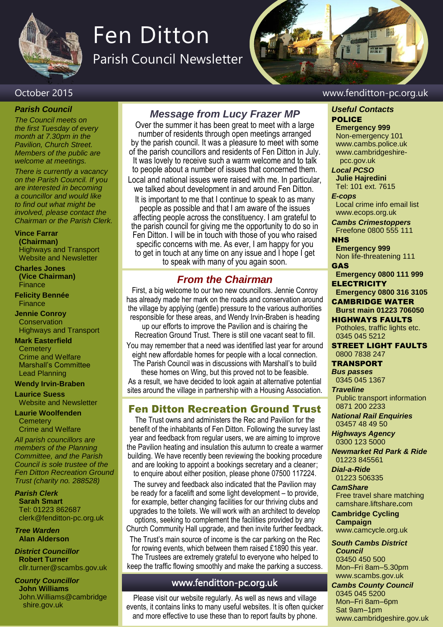

# Fen Ditton

Parish Council Newsletter



#### *Parish Council*

*The Council meets on the first Tuesday of every month at 7.30pm in the Pavilion, Church Street. Members of the public are welcome at meetings.*

*There is currently a vacancy on the Parish Council. If you are interested in becoming a councillor and would like to find out what might be involved, please contact the Chairman or the Parish Clerk.*

#### **Vince Farrar**

**(Chairman)** Highways and Transport Website and Newsletter

#### **Charles Jones (Vice Chairman)**

Finance

**Felicity Bennée** Finance

**Jennie Conroy Conservation** Highways and Transport

#### **Mark Easterfield**

**Cemeterv** Crime and Welfare Marshall's Committee Lead Planning

#### **Wendy Irvin-Braben**

**Laurice Suess** Website and Newsletter

**Laurie Woolfenden Cemetery** Crime and Welfare

*All parish councillors are members of the Planning Committee, and the Parish Council is sole trustee of the Fen Ditton Recreation Ground Trust (charity no. 288528)*

*Parish Clerk* **Sarah Smart** Tel: 01223 862687 clerk@fenditton-pc.org.uk

*Tree Warden* **Alan Alderson**

*District Councillor* **Robert Turner** cllr.turner@scambs.gov.uk

*County Councillor* **John Williams** John.Williams@cambridge shire.gov.uk

### *Message from Lucy Frazer MP*

Over the summer it has been great to meet with a large number of residents through open meetings arranged by the parish council. It was a pleasure to meet with some of the parish councillors and residents of Fen Ditton in July. It was lovely to receive such a warm welcome and to talk to people about a number of issues that concerned them. Local and national issues were raised with me. In particular, we talked about development in and around Fen Ditton.

It is important to me that I continue to speak to as many people as possible and that I am aware of the issues affecting people across the constituency. I am grateful to the parish council for giving me the opportunity to do so in Fen Ditton. I will be in touch with those of you who raised specific concerns with me. As ever, I am happy for you to get in touch at any time on any issue and I hope I get to speak with many of you again soon.

## *From the Chairman*

First, a big welcome to our two new councillors. Jennie Conroy has already made her mark on the roads and conservation around the village by applying (gentle) pressure to the various authorities responsible for these areas, and Wendy Irvin-Braben is heading up our efforts to improve the Pavilion and is chairing the Recreation Ground Trust. There is still one vacant seat to fill. You may remember that a need was identified last year for around

eight new affordable homes for people with a local connection. The Parish Council was in discussions with Marshall's to build

these homes on Wing, but this proved not to be feasible. As a result, we have decided to look again at alternative potential sites around the village in partnership with a Housing Association.

#### Fen Ditton Recreation Ground Trust

The Trust owns and administers the Rec and Pavilion for the benefit of the inhabitants of Fen Ditton. Following the survey last year and feedback from regular users, we are aiming to improve the Pavilion heating and insulation this autumn to create a warmer building. We have recently been reviewing the booking procedure and are looking to appoint a bookings secretary and a cleaner;

to enquire about either position, please phone 07500 117224. The survey and feedback also indicated that the Pavilion may be ready for a facelift and some light development – to provide, for example, better changing facilities for our thriving clubs and upgrades to the toilets. We will work with an architect to develop options, seeking to complement the facilities provided by any Church Community Hall upgrade, and then invite further feedback.

The Trust's main source of income is the car parking on the Rec for rowing events, which between them raised £1890 this year. The Trustees are extremely grateful to everyone who helped to keep the traffic flowing smoothly and make the parking a success.

#### www.fenditton-pc.org.uk

Please visit our website regularly. As well as news and village events, it contains links to many useful websites. It is often quicker and more effective to use these than to report faults by phone.

#### October 2015 www.fenditton-pc.org.uk

#### *Useful Contacts* POLICE

**Emergency 999** Non-emergency 101 www.cambs.police.uk www.cambridgeshire pcc.gov.uk

*Local PCSO*  **Julie Hajredini** Tel: 101 ext. 7615

#### *E-cops*

Local crime info email list www.ecops.org.uk

*Cambs Crimestoppers* Freefone 0800 555 111

#### **NHS**

**Emergency 999** Non life-threatening 111 GAS

**Emergency 0800 111 999 ELECTRICITY** 

**Emergency 0800 316 3105**

CAMBRIDGE WATER **Burst main 01223 706050**

HIGHWAYS FAULTS Potholes, traffic lights etc. 0345 045 5212

STREET LIGHT FAULTS 0800 7838 247

TRANSPORT

*Bus passes* 0345 045 1367

*Traveline* Public transport information 0871 200 2233

*National Rail Enquiries* 03457 48 49 50

*Highways Agency* 0300 123 5000

*Newmarket Rd Park & Ride* 01223 845561

*Dial-a-Ride* 01223 506335

#### *CamShare*

Free travel share matching camshare.liftshare**.**com

**Cambridge Cycling Campaign** www.camcycle.org.uk

*South Cambs District Council*

03450 450 500 Mon–Fri 8am–5.30pm www.scambs.gov.uk

*Cambs County Council*

0345 045 5200 Mon–Fri 8am–6pm Sat 9am–1pm www.cambridgeshire.gov.uk